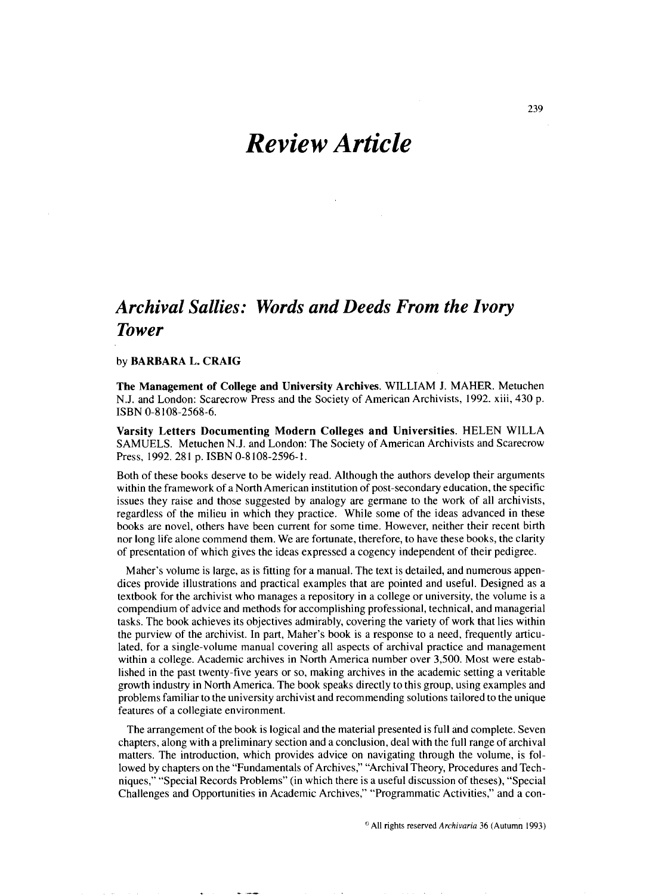# *Review Article*

# *Archival Sallies: Words and Deeds From the Ivory Tower*

### by **BARBARA** L. **CRAIG**

**The Management of College and University Archives.** WILLIAM J. MAHER. Metuchen N.J. and London: Scarecrow Press and the Society of American Archivists, 1992. xiii, 430 p. ISBN 0-8 108-2568-6.

**Varsity Letters Documenting Modern Colleges and Universities.** HELEN WILLA SAMUELS. Metuchen N.J. and London: The Society of American Archivists and Scarecrow Press, 1992. 281 p. ISBN 0-8108-2596-1.

Both of these books deserve to be widely read. Although the authors develop their arguments within the framework of a North American institution of post-secondary education, the specific issues they raise and those suggested by analogy are germane to the work of all archivists, regardless of the milieu in which they practice. While some of the ideas advanced in these books are novel, others have been current for some time. However, neither their recent birth nor long life alone commend them. We are fortunate, therefore, to have these books, the clarity of presentation of which gives the ideas expressed a cogency independent of their pedigree.

Maher's volume is large, as is fitting for a manual. The text is detailed, and numerous appendices provide illustrations and practical examples that are pointed and useful. Designed as a textbook for the archivist who manages a repository in a college or university, the volume is a compendium of advice and methods for accomplishing professional, technical, and managerial tasks. The book achieves its objectives admirably, covering the variety of work that lies within the purview of the archivist. In part, Maher's book is a response to a need, frequently articulated, for a single-volume manual covering all aspects of archival practice and management within a college. Academic archives in North America number over 3,500. Most were established in the past twenty-five years or so, making archives in the academic setting a veritable growth industry in North America. The book speaks directly to this group, using examples and problems familiar to the university archivist and recommending solutions tailored to the unique features of a collegiate environment.

The arrangement of the book is logical and the material presented is full and complete. Seven chapters, along with a preliminary section and a conclusion, deal with the full range of archival matters. The introduction, which provides advice on navigating through the volume, is followed by chapters on the "Fundamentals of Archives," "Archival Theory, Procedures and Techniques," "Special Records Problems" (in which there is a useful discussion of theses), "Special Challenges and Opportunities in Academic Archives," "Programmatic Activities," and a con-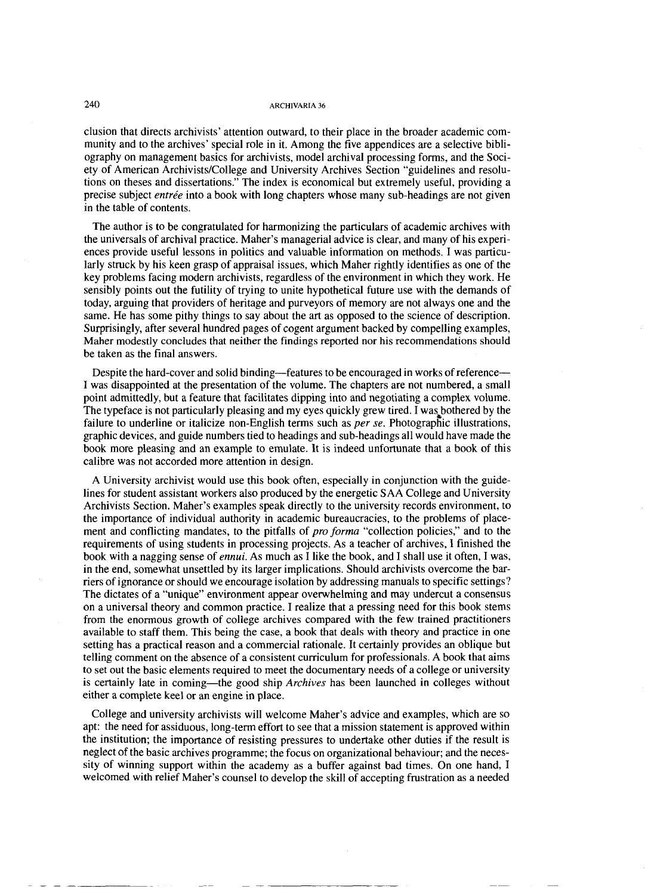# **240 ARCHIVARIA 36**

clusion that directs archivists' attention outward, to their place in the broader academic community and to the archives' special role in it. Among the five appendices are a selective bibliography on management basics for archivists, model archival processing forms, and the Society of American Archivists/College and University Archives Section "guidelines and resolutions on theses and dissertations." The index is economical but extremely useful, providing a precise subject *entrée* into a book with long chapters whose many sub-headings are not given in the table of contents.

The author is to be congratulated for harmonizing the particulars of academic archives with the universals of archival practice. Maher's managerial advice is clear, and many of his experiences provide useful lessons in politics and valuable information on methods. I was particularly struck by his keen grasp of appraisal issues, which Maher rightly identifies as one of the key problems facing modern archivists, regardless of the environment in which they work. He sensibly points out the futility of trying to unite hypothetical future use with the demands of today, arguing that providers of heritage and purveyors of memory are not always one and the same. He has some pithy things to say about the art as opposed to the science of description. Surprisingly, after several hundred pages of cogent argument backed by compelling examples, Maher modestly concludes that neither the findings reported nor his recommendations should be taken as the final answers.

Despite the hard-cover and solid binding-features to be encouraged in works of reference-I was disappointed at the presentation of the volume. The chapters are not numbered, a small point admittedly, but a feature that facilitates dipping into and negotiating a complex volume. The typeface is not particularly pleasing and my eyes quickly grew tired. I was bothered by the failure to underline or italicize non-English terms such as *per se.* Photographic illustrations, graphic devices, and guide numbers tied to headings and sub-headings all would have made the book more pleasing and an example to emulate. It is indeed unfortunate that a book of this calibre was not accorded more attention in design.

A University archivist would use this book often, especially in conjunction with the guidelines for student assistant workers also produced by the energetic SAA College and University Archivists Section. Maher's examples speak directly to the university records environment, to the importance of individual authority in academic bureaucracies, to the problems of placement and conflicting mandates, to the pitfalls of *pro forma* "collection policies," and to the requirements of using students in processing projects. As a teacher of archives, I finished the book with a nagging sense of *ennui.* As much as I like the book, and I shall use it often, I was, in the end, somewhat unsettled by its larger implications. Should archivists overcome the barriers of ignorance or should we encourage isolation by addressing manuals to specific settings? The dictates of a "unique" environment appear overwhelming and may undercut a consensus on a universal theory and common practice. I realize that a pressing need for this book stems from the enormous growth of college archives compared with the few trained practitioners available to staff them. This being the case, a book that deals with theory and practice in one setting has a practical reason and a commercial rationale. It certainly provides an oblique but telling comment on the absence of a consistent curriculum for professionals. A book that aims to set out the basic elements required to meet the documentary needs of a college or university is certainly late in coming—the good ship *Archives* has been launched in colleges without either a complete keel or an engine in place.

College and university archivists will welcome Maher's advice and examples, which are so apt: the need for assiduous, long-term effort to see that a mission statement is approved within the institution; the importance of resisting pressures to undertake other duties if the result is neglect of the basic archives programme; the focus on organizational behaviour; and the necessity of winning support within the academy as a buffer against bad times. On one hand, I welcomed with relief Maher's counsel to develop the skill of accepting frustration as a needed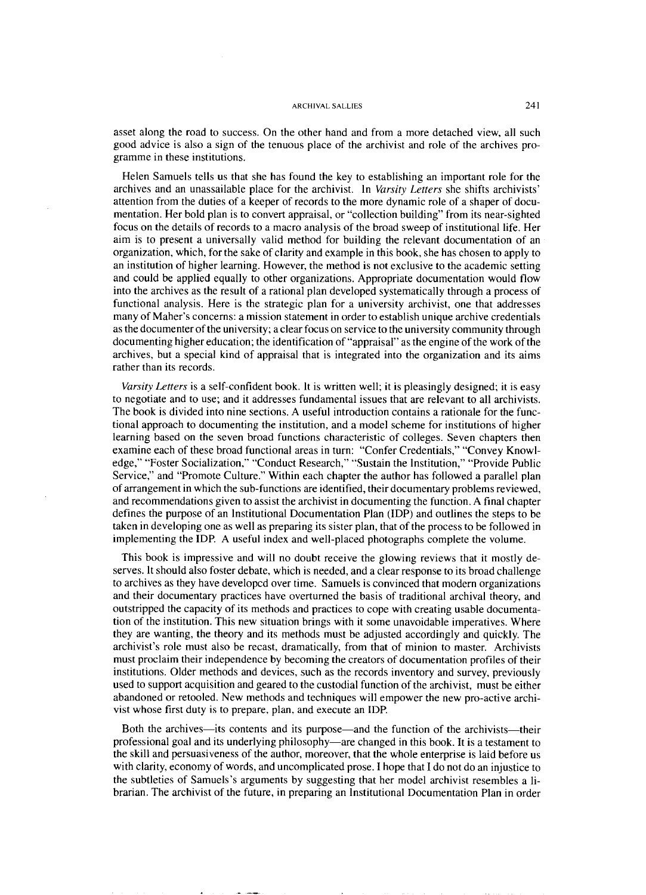# ARCHIVAL SALLIES 241

asset along the road to success. On the other hand and from a more detached view, all such good advice is also a sign of the tenuous place of the archivist and role of the archives programme in these institutions.

Helen Samuels tells us that she has found the key to establishing an important role for the archives and an unassailable place for the archivist. In *Varsity Letters* she shifts archivists' attention from the duties of a keeper of records to the more dynamic role of a shaper of documentation. Her bold plan is to convert appraisal, or "collection building" from its near-sighted focus on the details of records to a macro analysis of the broad sweep of institutional life. Her aim is to present a universally valid method for building the relevant documentation of an organization, which, for the sake of clarity and example in this book, she has chosen to apply to an institution of higher learning. However, the method is not exclusive to the academic setting and could be applied equally to other organizations. Appropriate documentation would flow into the archives as the result of a rational plan developed systematically through a process of functional analysis. Here is the strategic plan for a university archivist, one that addresses many of Maher's concerns: a mission statement in order to establish unique archive credentials as the documenter of the university; a clear focus on service to the university community through documenting higher education; the identification of "appraisal" as the engine of the work of the archives, but a special kind of appraisal that is integrated into the organization and its aims rather than its records.

*Varsity Letters* is a self-confident book. It is written well; it is pleasingly designed; it is easy to negotiate and to use; and it addresses fundamental issues that are relevant to all archivists. The book is divided into nine sections. A useful introduction contains a rationale for the functional approach to documenting the institution, and a model scheme for institutions of higher learning based on the seven broad functions characteristic of colleges. Seven chapters then examine each of these broad functional areas in turn: "Confer Credentials," "Convey Knowledge," "Foster Socialization," "Conduct Research," "Sustain the Institution," "Provide Public Service," and "Promote Culture." Within each chapter the author has followed a parallel plan of arrangement in which the sub-functions are identified, their documentary problems reviewed, and recommendations given to assist the archivist in documenting the function. **A** final chapter defines the purpose of an Institutional Documentation Plan (IDP) and outlines the steps to be taken in developing one as well as preparing its sister plan, that of the process to be followed in implementing the IDP. A useful index and well-placed photographs complete the volume.

This book is impressive and will no doubt receive the glowing reviews that it mostly deserves. It should also foster debate, which is needed, and a clear response to its broad challenge to archives as they have developed over time. Samuels is convinced that modern organizations and their documentary practices have overturned the basis of traditional archival theory, and outstripped the capacity of its methods and practices to cope with creating usable documentation of the institution. This new situation brings with it some unavoidable imperatives. Where they are wanting, the theory and its methods must be adjusted accordingly and quickly. The archivist's role must also be recast, dramatically, from that of minion to master. Archivists must proclaim their independence by becoming the creators of documentation profiles of their institutions. Older methods and devices, such as the records inventory and survey, previously used to support acquisition and geared to the custodial function of the archivist, must be either abandoned or retooled. New methods and techniques will empower the new pro-active archivist whose first duty is to prepare, plan, and execute an IDP.

Both the archives-its contents and its purpose-and the function of the archivists-their professional goal and its underlying philosophy-are changed in this book. It is a testament to the skill and persuasiveness of the author, moreover, that the whole enterprise is laid before us with clarity, economy of words, and uncomplicated prose. I hope that I do not do an injustice to the subtleties of Samuels's arguments by suggesting that her model archivist resembles a librarian. The archivist of the future, in preparing an Institutional Documentation Plan in order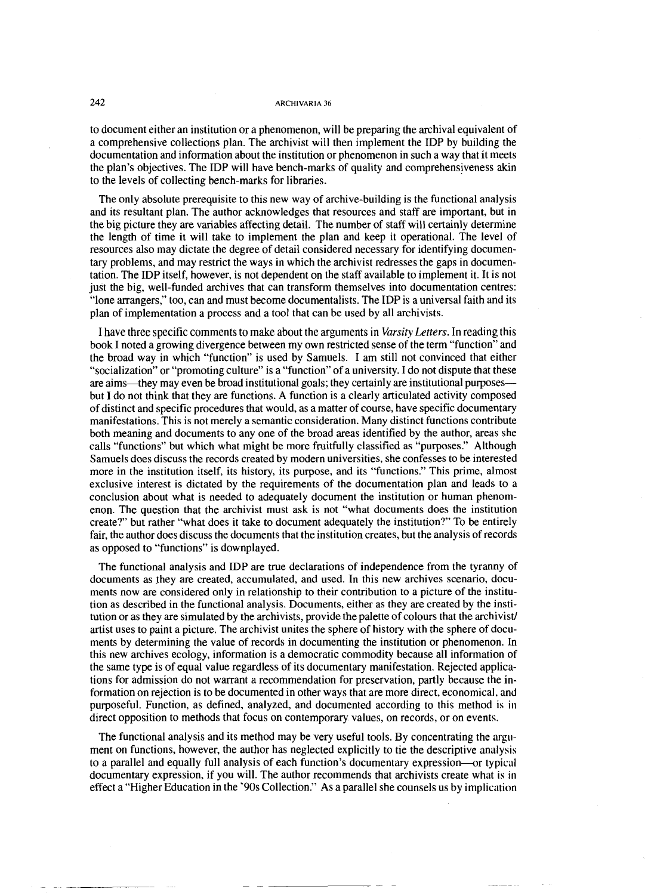## 242 ARCHIVARIA 36

to document either an institution or a phenomenon, will be preparing the archival equivalent of a comprehensive collections plan. The archivist will then implement the IDP by building the documentation and information about the institution or phenomenon in such a way that it meets the plan's objectives. The IDP will have bench-marks of quality and comprehensiveness akin to the levels of collecting bench-marks for libraries.

The only absolute prerequisite to this new way of archive-building is the functional analysis and its resultant plan. The author acknowledges that resources and staff are important, but in the big picture they are variables affecting detail. The number of staff will certainly determine the length of time it will take to implement the plan and keep it operational. The level of resources also may dictate the degree of detail considered necessary for identifying documentary problems, and may restrict the ways in which the archivist redresses the gaps in documentation. The IDP itself, however, is not dependent on the staff available to implement it. It is not just the big, well-funded archives that can transform themselves into documentation centres: "lone arrangers," too, can and must become documentalists. The IDP is a universal faith and its plan of implementation a process and a tool that can be used by all archivists.

I have three specific comments to make about the arguments in *Varsity Letters.* In reading this book I noted a growing divergence between my own restricted sense of the term "function" and the broad way in which "function" is used by Samuels. I am still not convinced that either "socialization" or "promoting culture" is a "function" of a university. I do not dispute that these are aims—they may even be broad institutional goals; they certainly are institutional purposes but 1 do not think that they are functions. A function is a clearly articulated activity composed of distinct and specific procedures that would, as a matter of course, have specific documentary manifestations. This is not merely a semantic consideration. Many distinct functions contribute both meaning and documents to any one of the broad areas identified by the author, areas she calls "functions" but which what might be more fruitfully classified as "purposes." Although Samuels does discuss the records created by modern universities, she confesses to be interested more in the institution itself, its history, its purpose, and its "functions." This prime, almost exclusive interest is dictated by the requirements of the documentation plan and leads to a conclusion about what is needed to adequately document the institution or human phenomenon. The question that the archivist must ask is not "what documents does the institution create?" but rather "what does it take to document adequately the institution?" To be entirely fair, the author does discuss the documents that the institution creates, but the analysis of records as opposed to "functions" is downplayed.

The functional analysis and IDP are true declarations of independence from the tyranny of documents as they are created, accumulated, and used. In this new archives scenario, documents now are considered only in relationship to their contribution to a picture of the institution as described in the functional analysis. Documents, either as they are created by the institution or as they are simulated by the archivists, provide the palette of colours that the archivist/ artist uses to paint a picture. The archivist unites the sphere of history with the sphere of documents by determining the value of records in documenting the institution or phenomenon. In this new archives ecology, information is a democratic commodity because all information of the same type is of equal value regardless of its documentary manifestation. Rejected applications for admission do not warrant a recommendation for preservation, partly because the information on rejection is to be documented in other ways that are more direct, economical. and purposeful. Function, as defined, analyzed, and documented according to this method is in direct opposition to methods that focus on contemporary values, on records, or on events.

The functional analysis and its method may be very useful tools. By concentrating the argument on functions, however, the author has neglected explicitly to tie the descriptive analysis to a parallel and equally full analysis of each function's documentary expression—or typical documentary expression, if you will. The author recommends that archivists create what is in effect a "Higher Education in the '90s Collection." As a parallel she counsels us by implication